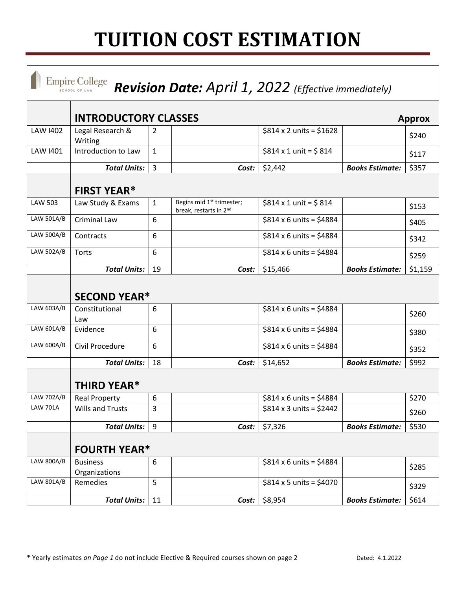## **TUITION COST ESTIMATION**

|                   | <b>Empire College</b><br>SCHOOL OF LAW       |                  | Revision Date: April 1, 2022 (Effective immediately)            |                                |                        |         |  |  |  |
|-------------------|----------------------------------------------|------------------|-----------------------------------------------------------------|--------------------------------|------------------------|---------|--|--|--|
|                   | <b>INTRODUCTORY CLASSES</b><br><b>Approx</b> |                  |                                                                 |                                |                        |         |  |  |  |
| <b>LAW 1402</b>   | Legal Research &<br>Writing                  | 2                |                                                                 | \$814 x 2 units = \$1628       |                        | \$240   |  |  |  |
| <b>LAW 1401</b>   | Introduction to Law                          | $\mathbf{1}$     |                                                                 | $$814 \times 1$ unit = \$814   |                        | \$117   |  |  |  |
|                   | <b>Total Units:</b>                          | 3                | Cost:                                                           | \$2,442                        | <b>Books Estimate:</b> | \$357   |  |  |  |
|                   | <b>FIRST YEAR*</b>                           |                  |                                                                 |                                |                        |         |  |  |  |
| <b>LAW 503</b>    | Law Study & Exams                            | $\mathbf{1}$     | Begins mid 1 <sup>st</sup> trimester;<br>break, restarts in 2nd | $$814 \times 1$ unit = \$814   |                        | \$153   |  |  |  |
| LAW 501A/B        | <b>Criminal Law</b>                          | 6                |                                                                 | $$814 \times 6$ units = \$4884 |                        | \$405   |  |  |  |
| <b>LAW 500A/B</b> | Contracts                                    | 6                |                                                                 | $$814 \times 6$ units = \$4884 |                        | \$342   |  |  |  |
| LAW 502A/B        | Torts                                        | 6                |                                                                 | $$814 \times 6$ units = \$4884 |                        | \$259   |  |  |  |
|                   | <b>Total Units:</b>                          | 19               | Cost:                                                           | \$15,466                       | <b>Books Estimate:</b> | \$1,159 |  |  |  |
|                   | <b>SECOND YEAR*</b>                          |                  |                                                                 |                                |                        |         |  |  |  |
| LAW 603A/B        | Constitutional<br>Law                        | 6                |                                                                 | $$814 \times 6$ units = \$4884 |                        | \$260   |  |  |  |
| LAW 601A/B        | Evidence                                     | 6                |                                                                 | $$814 \times 6$ units = \$4884 |                        | \$380   |  |  |  |
| LAW 600A/B        | Civil Procedure                              | 6                |                                                                 | $$814 \times 6$ units = \$4884 |                        | \$352   |  |  |  |
|                   | <b>Total Units:</b>                          | 18               | Cost:                                                           | \$14,652                       | <b>Books Estimate:</b> | \$992   |  |  |  |
|                   | <b>THIRD YEAR*</b>                           |                  |                                                                 |                                |                        |         |  |  |  |
| LAW 702A/B        | <b>Real Property</b>                         | 6                |                                                                 | $$814 \times 6$ units = \$4884 |                        | \$270   |  |  |  |
| <b>LAW 701A</b>   | <b>Wills and Trusts</b>                      | 3                |                                                                 | $$814 \times 3$ units = \$2442 |                        | \$260   |  |  |  |
|                   | <b>Total Units:</b>                          | 9                | Cost:                                                           | \$7,326                        | <b>Books Estimate:</b> | \$530   |  |  |  |
|                   | <b>FOURTH YEAR*</b>                          |                  |                                                                 |                                |                        |         |  |  |  |
| LAW 800A/B        | <b>Business</b><br>Organizations             | $\boldsymbol{6}$ |                                                                 | $$814 \times 6$ units = \$4884 |                        | \$285   |  |  |  |
| LAW 801A/B        | Remedies                                     | 5                |                                                                 | $$814 \times 5$ units = \$4070 |                        | \$329   |  |  |  |
|                   | <b>Total Units:</b>                          | 11               | Cost:                                                           | \$8,954                        | <b>Books Estimate:</b> | \$614   |  |  |  |